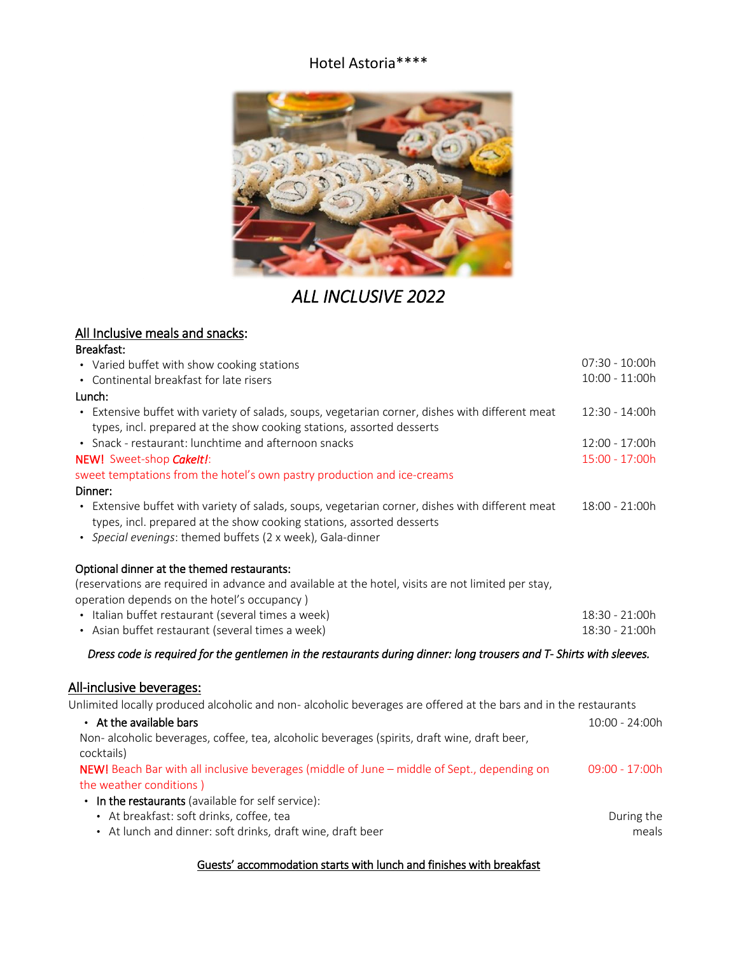### Hotel Astoria\*\*\*\*



# *ALL INCLUSIVE 2022*

## All Inclusive meals and snacks:

#### Breakfast:

| • Varied buffet with show cooking stations                                                                           | 07:30 - 10:00h |
|----------------------------------------------------------------------------------------------------------------------|----------------|
| • Continental breakfast for late risers                                                                              | 10:00 - 11:00h |
| Lunch:                                                                                                               |                |
| • Extensive buffet with variety of salads, soups, vegetarian corner, dishes with different meat                      | 12:30 - 14:00h |
| types, incl. prepared at the show cooking stations, assorted desserts                                                |                |
| • Snack - restaurant: lunchtime and afternoon snacks                                                                 | 12:00 - 17:00h |
| NEW! Sweet-shop Cakelt!:                                                                                             | 15:00 - 17:00h |
| sweet temptations from the hotel's own pastry production and ice-creams                                              |                |
| Dinner:                                                                                                              |                |
| Extensive buffet with variety of salads, soups, vegetarian corner, dishes with different meat                        | 18:00 - 21:00h |
| types, incl. prepared at the show cooking stations, assorted desserts                                                |                |
| · Special evenings: themed buffets (2 x week), Gala-dinner                                                           |                |
|                                                                                                                      |                |
| Optional dinner at the themed restaurants:                                                                           |                |
| (reservations are required in advance and available at the hotel, visits are not limited per stay,                   |                |
| operation depends on the hotel's occupancy)                                                                          |                |
| • Italian buffet restaurant (several times a week)                                                                   | 18:30 - 21:00h |
| • Asian buffet restaurant (several times a week)                                                                     | 18:30 - 21:00h |
| Dress code is required for the gentlemen in the restaurants during dinner: long trousers and T- Shirts with sleeves. |                |
|                                                                                                                      |                |
| <u>All-inclusive beverages:</u>                                                                                      |                |
| Unlimited locally produced alcoholic and non-alcoholic beverages are offered at the bars and in the restaurants      |                |
| • At the available bars                                                                                              | 10:00 - 24:00h |
| Non- alcoholic beverages, coffee, tea, alcoholic beverages (spirits, draft wine, draft beer,                         |                |
| cocktails)                                                                                                           |                |
| NEW! Beach Bar with all inclusive beverages (middle of June - middle of Sept., depending on                          | 09:00 - 17:00h |
| the weather conditions)                                                                                              |                |
| • In the restaurants (available for self service):                                                                   |                |
| • At breakfast: soft drinks, coffee, tea                                                                             | During the     |
| • At lunch and dinner: soft drinks, draft wine, draft beer                                                           | meals          |
|                                                                                                                      |                |

#### Guests' accommodation starts with lunch and finishes with breakfast